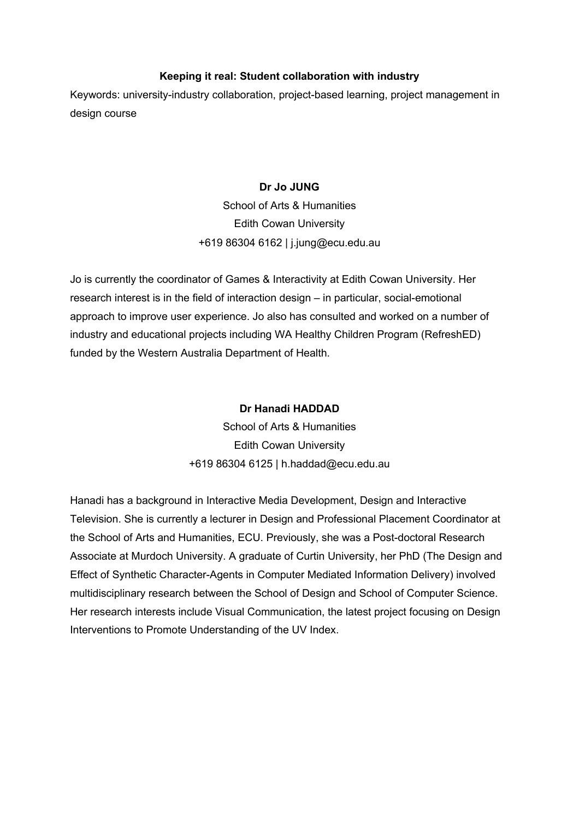### **Keeping it real: Student collaboration with industry**

Keywords: university-industry collaboration, project-based learning, project management in design course

### **Dr Jo JUNG**

School of Arts & Humanities Edith Cowan University +619 86304 6162 | j.jung@ecu.edu.au

Jo is currently the coordinator of Games & Interactivity at Edith Cowan University. Her research interest is in the field of interaction design – in particular, social-emotional approach to improve user experience. Jo also has consulted and worked on a number of industry and educational projects including WA Healthy Children Program (RefreshED) funded by the Western Australia Department of Health.

### **Dr Hanadi HADDAD**

School of Arts & Humanities Edith Cowan University +619 86304 6125 | h.haddad@ecu.edu.au

Hanadi has a background in Interactive Media Development, Design and Interactive Television. She is currently a lecturer in Design and Professional Placement Coordinator at the School of Arts and Humanities, ECU. Previously, she was a Post-doctoral Research Associate at Murdoch University. A graduate of Curtin University, her PhD (The Design and Effect of Synthetic Character-Agents in Computer Mediated Information Delivery) involved multidisciplinary research between the School of Design and School of Computer Science. Her research interests include Visual Communication, the latest project focusing on Design Interventions to Promote Understanding of the UV Index.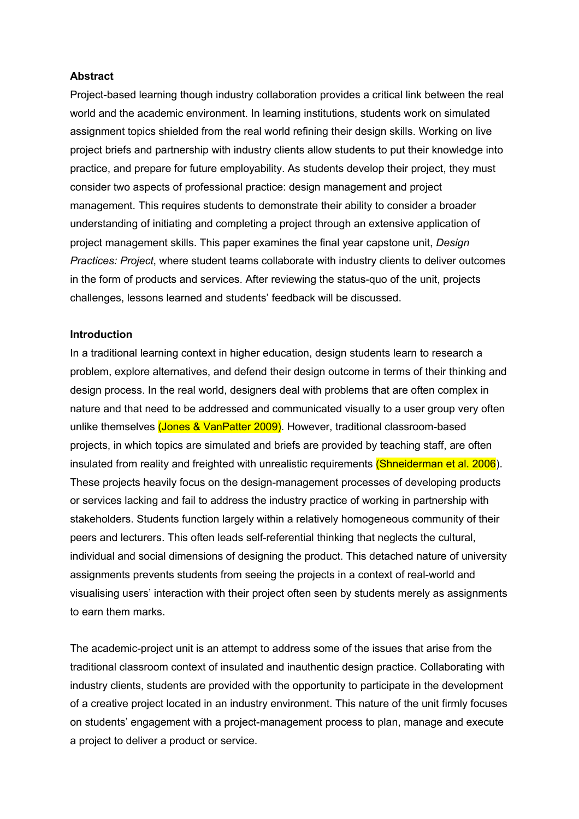#### **Abstract**

Project-based learning though industry collaboration provides a critical link between the real world and the academic environment. In learning institutions, students work on simulated assignment topics shielded from the real world refining their design skills. Working on live project briefs and partnership with industry clients allow students to put their knowledge into practice, and prepare for future employability. As students develop their project, they must consider two aspects of professional practice: design management and project management. This requires students to demonstrate their ability to consider a broader understanding of initiating and completing a project through an extensive application of project management skills. This paper examines the final year capstone unit, *Design Practices: Project*, where student teams collaborate with industry clients to deliver outcomes in the form of products and services. After reviewing the status-quo of the unit, projects challenges, lessons learned and students' feedback will be discussed.

#### **Introduction**

In a traditional learning context in higher education, design students learn to research a problem, explore alternatives, and defend their design outcome in terms of their thinking and design process. In the real world, designers deal with problems that are often complex in nature and that need to be addressed and communicated visually to a user group very often unlike themselves (Jones & VanPatter 2009). However, traditional classroom-based projects, in which topics are simulated and briefs are provided by teaching staff, are often insulated from reality and freighted with unrealistic requirements (Shneiderman et al. 2006). These projects heavily focus on the design-management processes of developing products or services lacking and fail to address the industry practice of working in partnership with stakeholders. Students function largely within a relatively homogeneous community of their peers and lecturers. This often leads self-referential thinking that neglects the cultural, individual and social dimensions of designing the product. This detached nature of university assignments prevents students from seeing the projects in a context of real-world and visualising users' interaction with their project often seen by students merely as assignments to earn them marks.

The academic-project unit is an attempt to address some of the issues that arise from the traditional classroom context of insulated and inauthentic design practice. Collaborating with industry clients, students are provided with the opportunity to participate in the development of a creative project located in an industry environment. This nature of the unit firmly focuses on students' engagement with a project-management process to plan, manage and execute a project to deliver a product or service.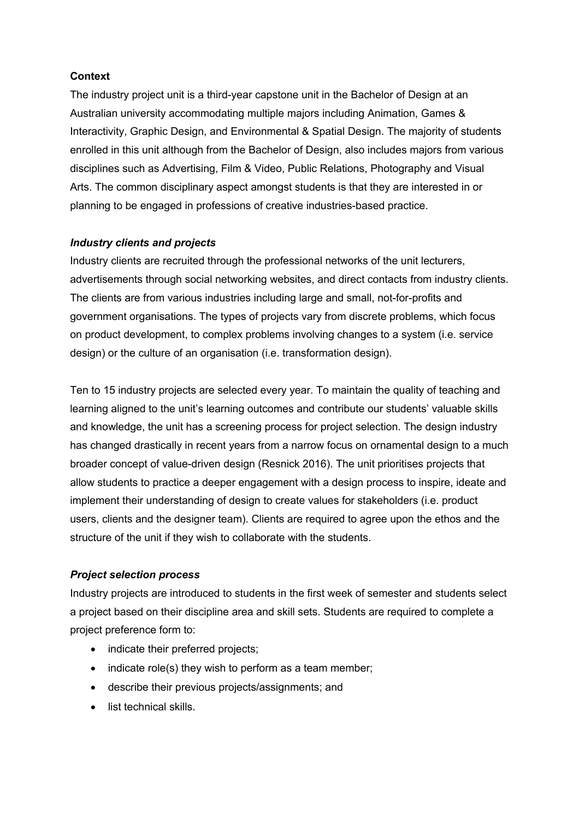### **Context**

The industry project unit is a third-year capstone unit in the Bachelor of Design at an Australian university accommodating multiple majors including Animation, Games & Interactivity, Graphic Design, and Environmental & Spatial Design. The majority of students enrolled in this unit although from the Bachelor of Design, also includes majors from various disciplines such as Advertising, Film & Video, Public Relations, Photography and Visual Arts. The common disciplinary aspect amongst students is that they are interested in or planning to be engaged in professions of creative industries-based practice.

### *Industry clients and projects*

Industry clients are recruited through the professional networks of the unit lecturers, advertisements through social networking websites, and direct contacts from industry clients. The clients are from various industries including large and small, not-for-profits and government organisations. The types of projects vary from discrete problems, which focus on product development, to complex problems involving changes to a system (i.e. service design) or the culture of an organisation (i.e. transformation design).

Ten to 15 industry projects are selected every year. To maintain the quality of teaching and learning aligned to the unit's learning outcomes and contribute our students' valuable skills and knowledge, the unit has a screening process for project selection. The design industry has changed drastically in recent years from a narrow focus on ornamental design to a much broader concept of value-driven design (Resnick 2016). The unit prioritises projects that allow students to practice a deeper engagement with a design process to inspire, ideate and implement their understanding of design to create values for stakeholders (i.e. product users, clients and the designer team). Clients are required to agree upon the ethos and the structure of the unit if they wish to collaborate with the students.

### *Project selection process*

Industry projects are introduced to students in the first week of semester and students select a project based on their discipline area and skill sets. Students are required to complete a project preference form to:

- indicate their preferred projects;
- indicate role(s) they wish to perform as a team member;
- describe their previous projects/assignments; and
- list technical skills.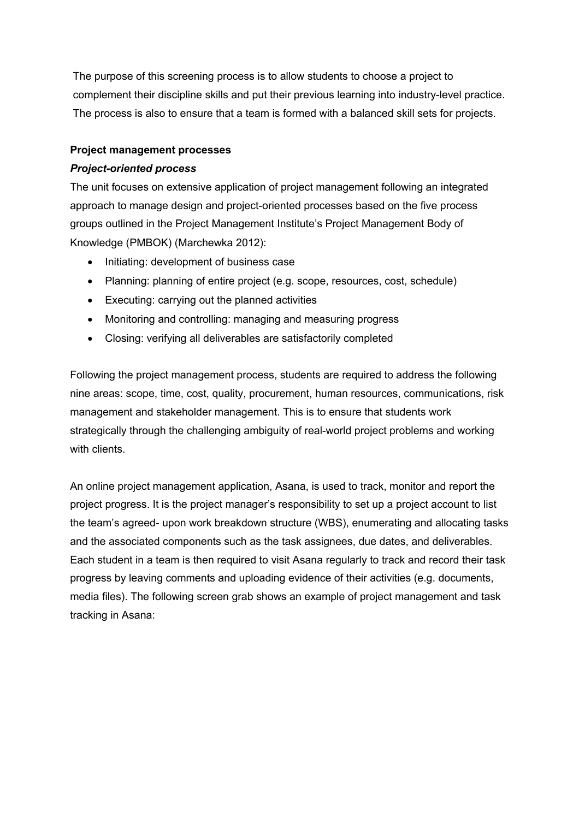The purpose of this screening process is to allow students to choose a project to complement their discipline skills and put their previous learning into industry-level practice. The process is also to ensure that a team is formed with a balanced skill sets for projects.

## **Project management processes**

## *Project-oriented process*

The unit focuses on extensive application of project management following an integrated approach to manage design and project-oriented processes based on the five process groups outlined in the Project Management Institute's Project Management Body of Knowledge (PMBOK) (Marchewka 2012):

- Initiating: development of business case
- Planning: planning of entire project (e.g. scope, resources, cost, schedule)
- Executing: carrying out the planned activities
- Monitoring and controlling: managing and measuring progress
- Closing: verifying all deliverables are satisfactorily completed

Following the project management process, students are required to address the following nine areas: scope, time, cost, quality, procurement, human resources, communications, risk management and stakeholder management. This is to ensure that students work strategically through the challenging ambiguity of real-world project problems and working with clients.

An online project management application, Asana, is used to track, monitor and report the project progress. It is the project manager's responsibility to set up a project account to list the team's agreed- upon work breakdown structure (WBS), enumerating and allocating tasks and the associated components such as the task assignees, due dates, and deliverables. Each student in a team is then required to visit Asana regularly to track and record their task progress by leaving comments and uploading evidence of their activities (e.g. documents, media files). The following screen grab shows an example of project management and task tracking in Asana: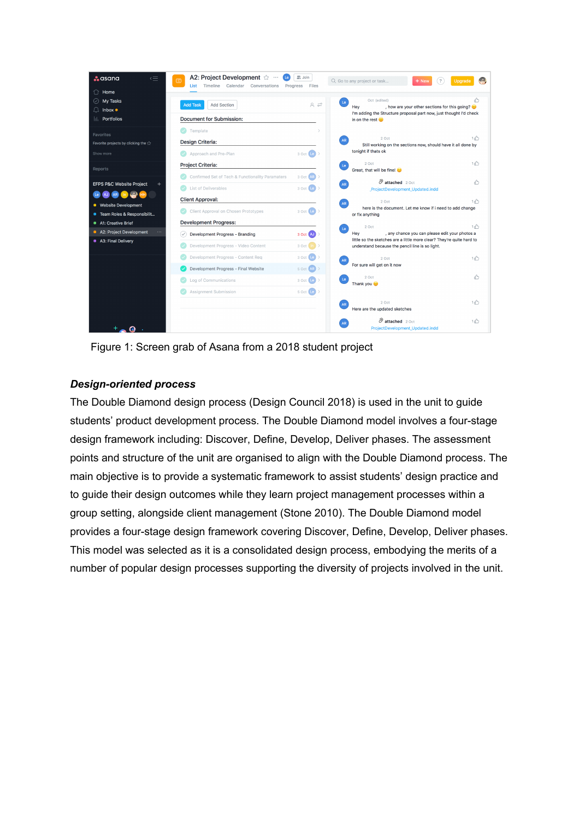

Figure 1: Screen grab of Asana from a 2018 student project

# *Design-oriented process*

The Double Diamond design process (Design Council 2018) is used in the unit to guide students' product development process. The Double Diamond model involves a four-stage design framework including: Discover, Define, Develop, Deliver phases. The assessment points and structure of the unit are organised to align with the Double Diamond process. The main objective is to provide a systematic framework to assist students' design practice and to guide their design outcomes while they learn project management processes within a group setting, alongside client management (Stone 2010). The Double Diamond model provides a four-stage design framework covering Discover, Define, Develop, Deliver phases. This model was selected as it is a consolidated design process, embodying the merits of a number of popular design processes supporting the diversity of projects involved in the unit.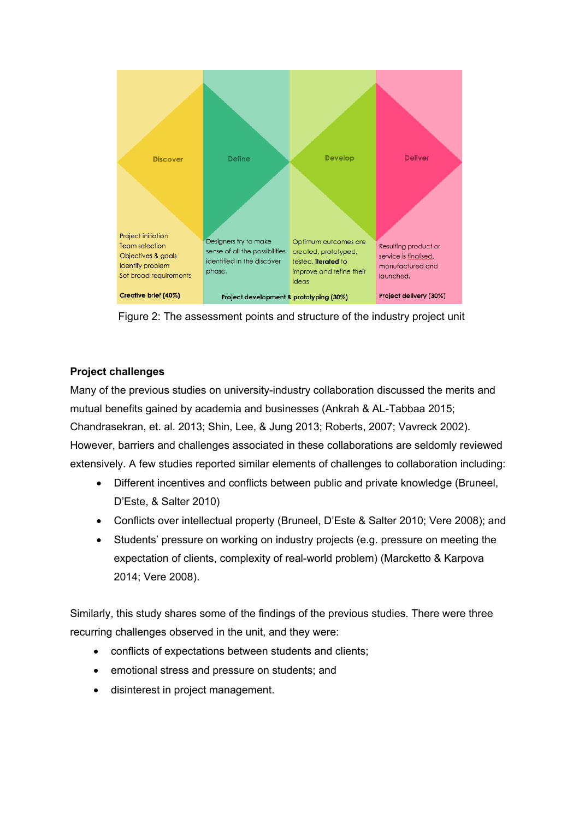

Figure 2: The assessment points and structure of the industry project unit

# **Project challenges**

Many of the previous studies on university-industry collaboration discussed the merits and mutual benefits gained by academia and businesses (Ankrah & AL-Tabbaa 2015; Chandrasekran, et. al. 2013; Shin, Lee, & Jung 2013; Roberts, 2007; Vavreck 2002). However, barriers and challenges associated in these collaborations are seldomly reviewed extensively. A few studies reported similar elements of challenges to collaboration including:

- Different incentives and conflicts between public and private knowledge (Bruneel, D'Este, & Salter 2010)
- Conflicts over intellectual property (Bruneel, D'Este & Salter 2010; Vere 2008); and
- Students' pressure on working on industry projects (e.g. pressure on meeting the expectation of clients, complexity of real-world problem) (Marcketto & Karpova 2014; Vere 2008).

Similarly, this study shares some of the findings of the previous studies. There were three recurring challenges observed in the unit, and they were:

- conflicts of expectations between students and clients;
- emotional stress and pressure on students; and
- disinterest in project management.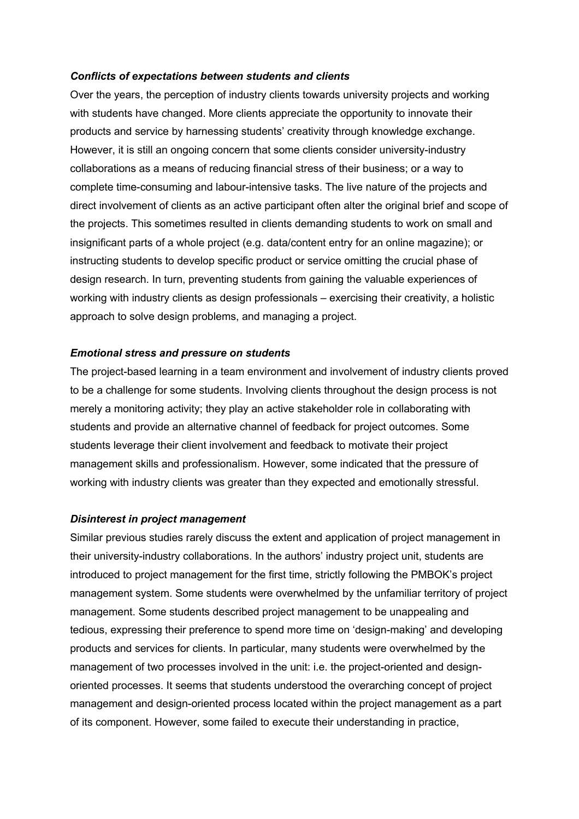#### *Conflicts of expectations between students and clients*

Over the years, the perception of industry clients towards university projects and working with students have changed. More clients appreciate the opportunity to innovate their products and service by harnessing students' creativity through knowledge exchange. However, it is still an ongoing concern that some clients consider university-industry collaborations as a means of reducing financial stress of their business; or a way to complete time-consuming and labour-intensive tasks. The live nature of the projects and direct involvement of clients as an active participant often alter the original brief and scope of the projects. This sometimes resulted in clients demanding students to work on small and insignificant parts of a whole project (e.g. data/content entry for an online magazine); or instructing students to develop specific product or service omitting the crucial phase of design research. In turn, preventing students from gaining the valuable experiences of working with industry clients as design professionals – exercising their creativity, a holistic approach to solve design problems, and managing a project.

#### *Emotional stress and pressure on students*

The project-based learning in a team environment and involvement of industry clients proved to be a challenge for some students. Involving clients throughout the design process is not merely a monitoring activity; they play an active stakeholder role in collaborating with students and provide an alternative channel of feedback for project outcomes. Some students leverage their client involvement and feedback to motivate their project management skills and professionalism. However, some indicated that the pressure of working with industry clients was greater than they expected and emotionally stressful.

#### *Disinterest in project management*

Similar previous studies rarely discuss the extent and application of project management in their university-industry collaborations. In the authors' industry project unit, students are introduced to project management for the first time, strictly following the PMBOK's project management system. Some students were overwhelmed by the unfamiliar territory of project management. Some students described project management to be unappealing and tedious, expressing their preference to spend more time on 'design-making' and developing products and services for clients. In particular, many students were overwhelmed by the management of two processes involved in the unit: i.e. the project-oriented and designoriented processes. It seems that students understood the overarching concept of project management and design-oriented process located within the project management as a part of its component. However, some failed to execute their understanding in practice,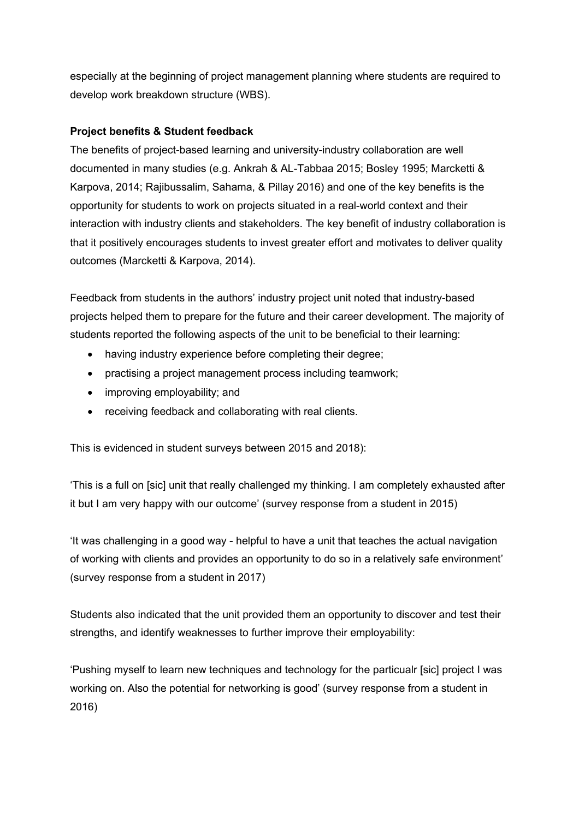especially at the beginning of project management planning where students are required to develop work breakdown structure (WBS).

# **Project benefits & Student feedback**

The benefits of project-based learning and university-industry collaboration are well documented in many studies (e.g. Ankrah & AL-Tabbaa 2015; Bosley 1995; Marcketti & Karpova, 2014; Rajibussalim, Sahama, & Pillay 2016) and one of the key benefits is the opportunity for students to work on projects situated in a real-world context and their interaction with industry clients and stakeholders. The key benefit of industry collaboration is that it positively encourages students to invest greater effort and motivates to deliver quality outcomes (Marcketti & Karpova, 2014).

Feedback from students in the authors' industry project unit noted that industry-based projects helped them to prepare for the future and their career development. The majority of students reported the following aspects of the unit to be beneficial to their learning:

- having industry experience before completing their degree;
- practising a project management process including teamwork;
- improving employability; and
- receiving feedback and collaborating with real clients.

This is evidenced in student surveys between 2015 and 2018):

'This is a full on [sic] unit that really challenged my thinking. I am completely exhausted after it but I am very happy with our outcome' (survey response from a student in 2015)

'It was challenging in a good way - helpful to have a unit that teaches the actual navigation of working with clients and provides an opportunity to do so in a relatively safe environment' (survey response from a student in 2017)

Students also indicated that the unit provided them an opportunity to discover and test their strengths, and identify weaknesses to further improve their employability:

'Pushing myself to learn new techniques and technology for the particualr [sic] project I was working on. Also the potential for networking is good' (survey response from a student in 2016)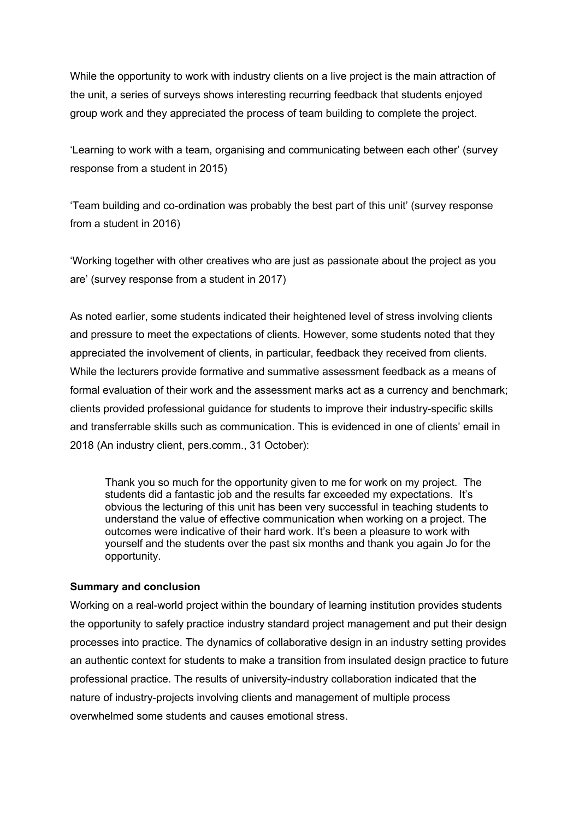While the opportunity to work with industry clients on a live project is the main attraction of the unit, a series of surveys shows interesting recurring feedback that students enjoyed group work and they appreciated the process of team building to complete the project.

'Learning to work with a team, organising and communicating between each other' (survey response from a student in 2015)

'Team building and co-ordination was probably the best part of this unit' (survey response from a student in 2016)

'Working together with other creatives who are just as passionate about the project as you are' (survey response from a student in 2017)

As noted earlier, some students indicated their heightened level of stress involving clients and pressure to meet the expectations of clients. However, some students noted that they appreciated the involvement of clients, in particular, feedback they received from clients. While the lecturers provide formative and summative assessment feedback as a means of formal evaluation of their work and the assessment marks act as a currency and benchmark; clients provided professional guidance for students to improve their industry-specific skills and transferrable skills such as communication. This is evidenced in one of clients' email in 2018 (An industry client, pers.comm., 31 October):

Thank you so much for the opportunity given to me for work on my project. The students did a fantastic job and the results far exceeded my expectations. It's obvious the lecturing of this unit has been very successful in teaching students to understand the value of effective communication when working on a project. The outcomes were indicative of their hard work. It's been a pleasure to work with yourself and the students over the past six months and thank you again Jo for the opportunity.

### **Summary and conclusion**

Working on a real-world project within the boundary of learning institution provides students the opportunity to safely practice industry standard project management and put their design processes into practice. The dynamics of collaborative design in an industry setting provides an authentic context for students to make a transition from insulated design practice to future professional practice. The results of university-industry collaboration indicated that the nature of industry-projects involving clients and management of multiple process overwhelmed some students and causes emotional stress.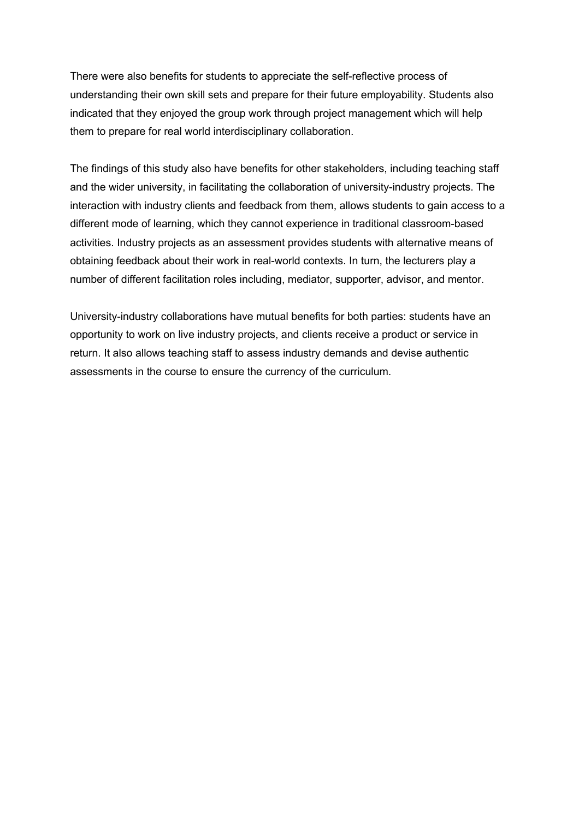There were also benefits for students to appreciate the self-reflective process of understanding their own skill sets and prepare for their future employability. Students also indicated that they enjoyed the group work through project management which will help them to prepare for real world interdisciplinary collaboration.

The findings of this study also have benefits for other stakeholders, including teaching staff and the wider university, in facilitating the collaboration of university-industry projects. The interaction with industry clients and feedback from them, allows students to gain access to a different mode of learning, which they cannot experience in traditional classroom-based activities. Industry projects as an assessment provides students with alternative means of obtaining feedback about their work in real-world contexts. In turn, the lecturers play a number of different facilitation roles including, mediator, supporter, advisor, and mentor.

University-industry collaborations have mutual benefits for both parties: students have an opportunity to work on live industry projects, and clients receive a product or service in return. It also allows teaching staff to assess industry demands and devise authentic assessments in the course to ensure the currency of the curriculum.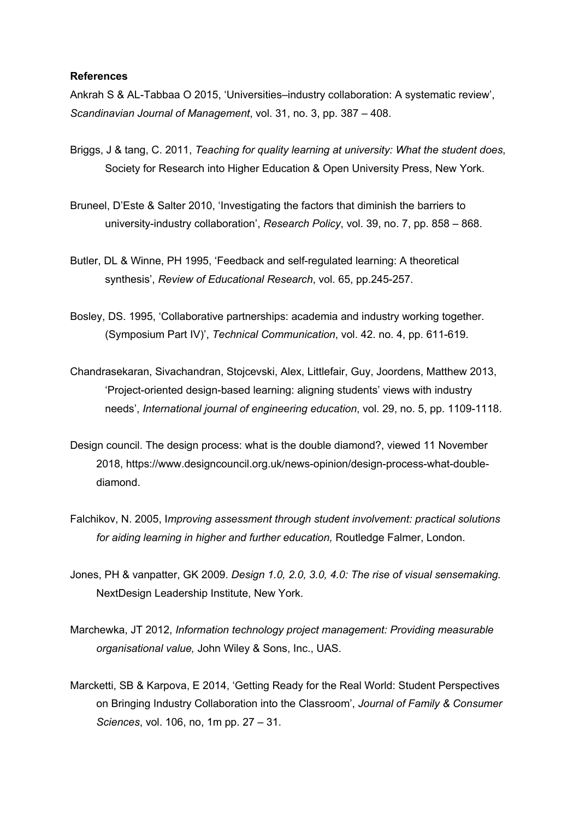#### **References**

Ankrah S & AL-Tabbaa O 2015, 'Universities–industry collaboration: A systematic review', *Scandinavian Journal of Management*, vol. 31, no. 3, pp. 387 – 408.

- Briggs, J & tang, C. 2011, *Teaching for quality learning at university: What the student does*, Society for Research into Higher Education & Open University Press, New York.
- Bruneel, D'Este & Salter 2010, 'Investigating the factors that diminish the barriers to university-industry collaboration', *Research Policy*, vol. 39, no. 7, pp. 858 – 868.
- Butler, DL & Winne, PH 1995, 'Feedback and self-regulated learning: A theoretical synthesis', *Review of Educational Research*, vol. 65, pp.245-257.
- Bosley, DS. 1995, 'Collaborative partnerships: academia and industry working together. (Symposium Part IV)', *Technical Communication*, vol. 42. no. 4, pp. 611-619.
- Chandrasekaran, Sivachandran, Stojcevski, Alex, Littlefair, Guy, Joordens, Matthew 2013, 'Project-oriented design-based learning: aligning students' views with industry needs', *International journal of engineering education*, vol. 29, no. 5, pp. 1109-1118.
- Design council. The design process: what is the double diamond?, viewed 11 November 2018, https://www.designcouncil.org.uk/news-opinion/design-process-what-doublediamond.
- Falchikov, N. 2005, I*mproving assessment through student involvement: practical solutions for aiding learning in higher and further education,* Routledge Falmer, London.
- Jones, PH & vanpatter, GK 2009. *Design 1.0, 2.0, 3.0, 4.0: The rise of visual sensemaking.* NextDesign Leadership Institute, New York.
- Marchewka, JT 2012, *Information technology project management: Providing measurable organisational value,* John Wiley & Sons, Inc., UAS.
- Marcketti, SB & Karpova, E 2014, 'Getting Ready for the Real World: Student Perspectives on Bringing Industry Collaboration into the Classroom', *Journal of Family & Consumer Sciences*, vol. 106, no, 1m pp. 27 – 31.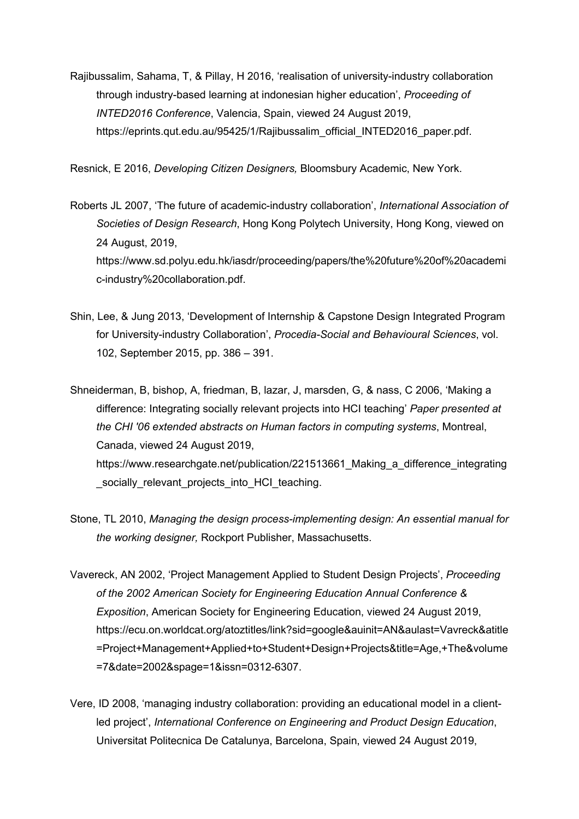Rajibussalim, Sahama, T, & Pillay, H 2016, 'realisation of university-industry collaboration through industry-based learning at indonesian higher education', *Proceeding of INTED2016 Conference*, Valencia, Spain, viewed 24 August 2019, https://eprints.qut.edu.au/95425/1/Rajibussalim\_official\_INTED2016\_paper.pdf.

Resnick, E 2016, *Developing Citizen Designers,* Bloomsbury Academic, New York.

- Roberts JL 2007, 'The future of academic-industry collaboration', *International Association of Societies of Design Research*, Hong Kong Polytech University, Hong Kong, viewed on 24 August, 2019, https://www.sd.polyu.edu.hk/iasdr/proceeding/papers/the%20future%20of%20academi c-industry%20collaboration.pdf.
- Shin, Lee, & Jung 2013, 'Development of Internship & Capstone Design Integrated Program for University-industry Collaboration', *Procedia-Social and Behavioural Sciences*, vol. 102, September 2015, pp. 386 – 391.
- Shneiderman, B, bishop, A, friedman, B, lazar, J, marsden, G, & nass, C 2006, 'Making a difference: Integrating socially relevant projects into HCI teaching' *Paper presented at the CHI '06 extended abstracts on Human factors in computing systems*, Montreal, Canada, viewed 24 August 2019, https://www.researchgate.net/publication/221513661 Making a difference integrating socially relevant projects into HCI teaching.
- Stone, TL 2010, *Managing the design process-implementing design: An essential manual for the working designer,* Rockport Publisher, Massachusetts.
- Vavereck, AN 2002, 'Project Management Applied to Student Design Projects', *Proceeding of the 2002 American Society for Engineering Education Annual Conference & Exposition*, American Society for Engineering Education, viewed 24 August 2019, https://ecu.on.worldcat.org/atoztitles/link?sid=google&auinit=AN&aulast=Vavreck&atitle =Project+Management+Applied+to+Student+Design+Projects&title=Age,+The&volume =7&date=2002&spage=1&issn=0312-6307.
- Vere, ID 2008, 'managing industry collaboration: providing an educational model in a clientled project', *International Conference on Engineering and Product Design Education*, Universitat Politecnica De Catalunya, Barcelona, Spain, viewed 24 August 2019,